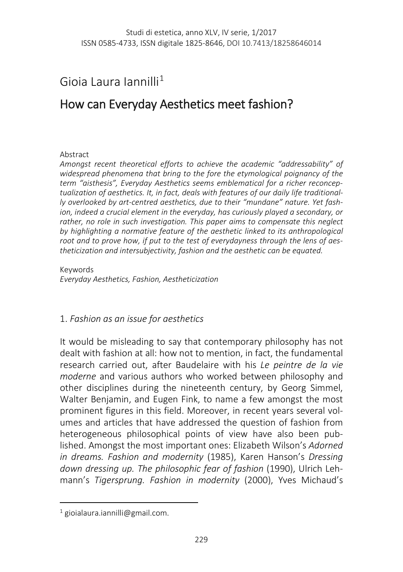## Gioia Laura Iannilli[1](#page-0-0)

# How can Everyday Aesthetics meet fashion?

#### Abstract

*Amongst recent theoretical efforts to achieve the academic "addressability" of widespread phenomena that bring to the fore the etymological poignancy of the term "aisthesis", Everyday Aesthetics seems emblematical for a richer reconceptualization of aesthetics. It, in fact, deals with features of our daily life traditionally overlooked by art-centred aesthetics, due to their "mundane" nature. Yet fashion, indeed a crucial element in the everyday, has curiously played a secondary, or rather, no role in such investigation. This paper aims to compensate this neglect by highlighting a normative feature of the aesthetic linked to its anthropological root and to prove how, if put to the test of everydayness through the lens of aestheticization and intersubjectivity, fashion and the aesthetic can be equated.*

Keywords *Everyday Aesthetics, Fashion, Aestheticization*

#### 1. *Fashion as an issue for aesthetics*

It would be misleading to say that contemporary philosophy has not dealt with fashion at all: how not to mention, in fact, the fundamental research carried out, after Baudelaire with his *Le peintre de la vie moderne* and various authors who worked between philosophy and other disciplines during the nineteenth century, by Georg Simmel, Walter Benjamin, and Eugen Fink, to name a few amongst the most prominent figures in this field. Moreover, in recent years several volumes and articles that have addressed the question of fashion from heterogeneous philosophical points of view have also been published. Amongst the most important ones: Elizabeth Wilson's *Adorned in dreams. Fashion and modernity* (1985), Karen Hanson's *Dressing down dressing up. The philosophic fear of fashion* (1990), Ulrich Lehmann's *Tigersprung. Fashion in modernity* (2000), Yves Michaud's

<span id="page-0-0"></span><sup>1</sup> [gioialaura.iannilli@gmail.com.](mailto:gioialaura.iannilli@gmail.com)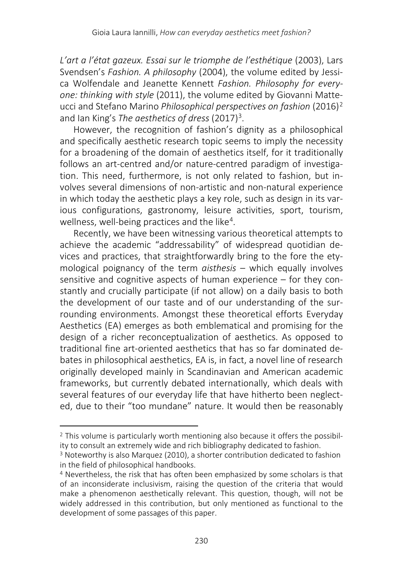*L'art a l'état gazeux. Essai sur le triomphe de l'esthétique* (2003), Lars Svendsen's *Fashion. A philosophy* (2004), the volume edited by Jessica Wolfendale and Jeanette Kennett *Fashion. Philosophy for everyone: thinking with style* (2011), the volume edited by Giovanni Matteucci and Stefano Marino *Philosophical perspectives on fashion* (2016)[2](#page-1-0) and Ian King's *The aesthetics of dress* (2017)<sup>3</sup>.

However, the recognition of fashion's dignity as a philosophical and specifically aesthetic research topic seems to imply the necessity for a broadening of the domain of aesthetics itself, for it traditionally follows an art-centred and/or nature-centred paradigm of investigation. This need, furthermore, is not only related to fashion, but involves several dimensions of non-artistic and non-natural experience in which today the aesthetic plays a key role, such as design in its various configurations, gastronomy, leisure activities, sport, tourism, wellness, well-being practices and the like<sup>[4](#page-1-2)</sup>.

Recently, we have been witnessing various theoretical attempts to achieve the academic "addressability" of widespread quotidian devices and practices, that straightforwardly bring to the fore the etymological poignancy of the term *aisthesis* – which equally involves sensitive and cognitive aspects of human experience – for they constantly and crucially participate (if not allow) on a daily basis to both the development of our taste and of our understanding of the surrounding environments. Amongst these theoretical efforts Everyday Aesthetics (EA) emerges as both emblematical and promising for the design of a richer reconceptualization of aesthetics. As opposed to traditional fine art-oriented aesthetics that has so far dominated debates in philosophical aesthetics, EA is, in fact, a novel line of research originally developed mainly in Scandinavian and American academic frameworks, but currently debated internationally, which deals with several features of our everyday life that have hitherto been neglected, due to their "too mundane" nature. It would then be reasonably

 $\overline{\phantom{a}}$ 

<span id="page-1-0"></span><sup>&</sup>lt;sup>2</sup> This volume is particularly worth mentioning also because it offers the possibility to consult an extremely wide and rich bibliography dedicated to fashion.

<span id="page-1-1"></span><sup>3</sup> Noteworthy is also Marquez (2010), a shorter contribution dedicated to fashion in the field of philosophical handbooks.

<span id="page-1-2"></span><sup>4</sup> Nevertheless, the risk that has often been emphasized by some scholars is that of an inconsiderate inclusivism, raising the question of the criteria that would make a phenomenon aesthetically relevant. This question, though, will not be widely addressed in this contribution, but only mentioned as functional to the development of some passages of this paper.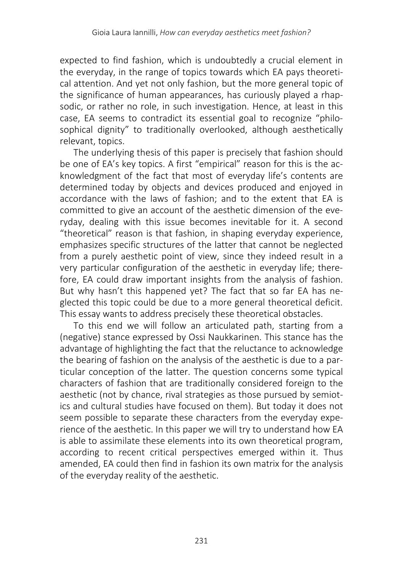expected to find fashion, which is undoubtedly a crucial element in the everyday, in the range of topics towards which EA pays theoretical attention. And yet not only fashion, but the more general topic of the significance of human appearances, has curiously played a rhapsodic, or rather no role, in such investigation. Hence, at least in this case, EA seems to contradict its essential goal to recognize "philosophical dignity" to traditionally overlooked, although aesthetically relevant, topics.

The underlying thesis of this paper is precisely that fashion should be one of EA's key topics. A first "empirical" reason for this is the acknowledgment of the fact that most of everyday life's contents are determined today by objects and devices produced and enjoyed in accordance with the laws of fashion; and to the extent that EA is committed to give an account of the aesthetic dimension of the everyday, dealing with this issue becomes inevitable for it. A second "theoretical" reason is that fashion, in shaping everyday experience, emphasizes specific structures of the latter that cannot be neglected from a purely aesthetic point of view, since they indeed result in a very particular configuration of the aesthetic in everyday life; therefore, EA could draw important insights from the analysis of fashion. But why hasn't this happened yet? The fact that so far EA has neglected this topic could be due to a more general theoretical deficit. This essay wants to address precisely these theoretical obstacles.

To this end we will follow an articulated path, starting from a (negative) stance expressed by Ossi Naukkarinen. This stance has the advantage of highlighting the fact that the reluctance to acknowledge the bearing of fashion on the analysis of the aesthetic is due to a particular conception of the latter. The question concerns some typical characters of fashion that are traditionally considered foreign to the aesthetic (not by chance, rival strategies as those pursued by semiotics and cultural studies have focused on them). But today it does not seem possible to separate these characters from the everyday experience of the aesthetic. In this paper we will try to understand how EA is able to assimilate these elements into its own theoretical program, according to recent critical perspectives emerged within it. Thus amended, EA could then find in fashion its own matrix for the analysis of the everyday reality of the aesthetic.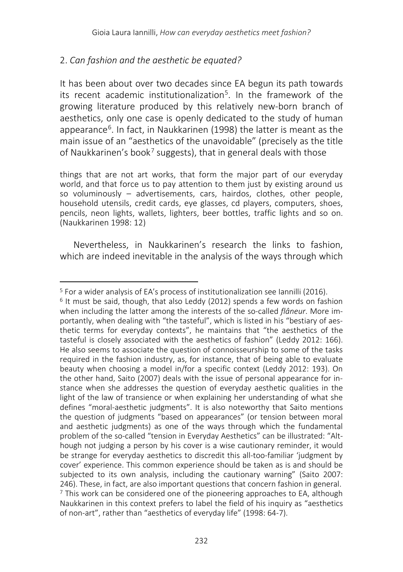#### 2. *Can fashion and the aesthetic be equated?*

It has been about over two decades since EA begun its path towards its recent academic institutionalization<sup>5</sup>. In the framework of the growing literature produced by this relatively new-born branch of aesthetics, only one case is openly dedicated to the study of human appearance<sup>[6](#page-3-1)</sup>. In fact, in Naukkarinen (1998) the latter is meant as the main issue of an "aesthetics of the unavoidable" (precisely as the title of Naukkarinen's book<sup>[7](#page-3-2)</sup> suggests), that in general deals with those

things that are not art works, that form the major part of our everyday world, and that force us to pay attention to them just by existing around us so voluminously – advertisements, cars, hairdos, clothes, other people, household utensils, credit cards, eye glasses, cd players, computers, shoes, pencils, neon lights, wallets, lighters, beer bottles, traffic lights and so on. (Naukkarinen 1998: 12)

Nevertheless, in Naukkarinen's research the links to fashion, which are indeed inevitable in the analysis of the ways through which

 $\overline{a}$ 

<span id="page-3-2"></span><span id="page-3-1"></span><span id="page-3-0"></span><sup>&</sup>lt;sup>5</sup> For a wider analysis of EA's process of institutionalization see Iannilli (2016).<br><sup>6</sup> It must be said, though, that also Leddy (2012) spends a few words on fashion when including the latter among the interests of the so-called *flâneur*. More importantly, when dealing with "the tasteful", which is listed in his "bestiary of aesthetic terms for everyday contexts", he maintains that "the aesthetics of the tasteful is closely associated with the aesthetics of fashion" (Leddy 2012: 166). He also seems to associate the question of connoisseurship to some of the tasks required in the fashion industry, as, for instance, that of being able to evaluate beauty when choosing a model in/for a specific context (Leddy 2012: 193). On the other hand, Saito (2007) deals with the issue of personal appearance for instance when she addresses the question of everyday aesthetic qualities in the light of the law of transience or when explaining her understanding of what she defines "moral-aesthetic judgments". It is also noteworthy that Saito mentions the question of judgments "based on appearances" (or tension between moral and aesthetic judgments) as one of the ways through which the fundamental problem of the so-called "tension in Everyday Aesthetics" can be illustrated: "Although not judging a person by his cover is a wise cautionary reminder, it would be strange for everyday aesthetics to discredit this all-too-familiar 'judgment by cover' experience. This common experience should be taken as is and should be subjected to its own analysis, including the cautionary warning" (Saito 2007: 246). These in fact, are also important questions that concern fashion in general.  $\frac{7}{10}$  This work can be considered one of the pioneering approaches to EA, although Naukkarinen in this context prefers to label the field of his inquiry as "aesthetics of non-art", rather than "aesthetics of everyday life" (1998: 64-7).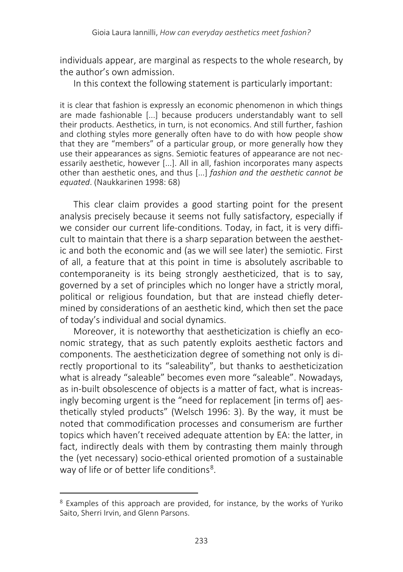individuals appear, are marginal as respects to the whole research, by the author's own admission.

In this context the following statement is particularly important:

it is clear that fashion is expressly an economic phenomenon in which things are made fashionable [...] because producers understandably want to sell their products. Aesthetics, in turn, is not economics. And still further, fashion and clothing styles more generally often have to do with how people show that they are "members" of a particular group, or more generally how they use their appearances as signs. Semiotic features of appearance are not necessarily aesthetic, however [...]. All in all, fashion incorporates many aspects other than aesthetic ones, and thus [...] *fashion and the aesthetic cannot be equated*. (Naukkarinen 1998: 68)

This clear claim provides a good starting point for the present analysis precisely because it seems not fully satisfactory, especially if we consider our current life-conditions. Today, in fact, it is very difficult to maintain that there is a sharp separation between the aesthetic and both the economic and (as we will see later) the semiotic. First of all, a feature that at this point in time is absolutely ascribable to contemporaneity is its being strongly aestheticized, that is to say, governed by a set of principles which no longer have a strictly moral, political or religious foundation, but that are instead chiefly determined by considerations of an aesthetic kind, which then set the pace of today's individual and social dynamics.

Moreover, it is noteworthy that aestheticization is chiefly an economic strategy, that as such patently exploits aesthetic factors and components. The aestheticization degree of something not only is directly proportional to its "saleability", but thanks to aestheticization what is already "saleable" becomes even more "saleable". Nowadays, as in-built obsolescence of objects is a matter of fact, what is increasingly becoming urgent is the "need for replacement [in terms of] aesthetically styled products" (Welsch 1996: 3). By the way, it must be noted that commodification processes and consumerism are further topics which haven't received adequate attention by EA: the latter, in fact, indirectly deals with them by contrasting them mainly through the (yet necessary) socio-ethical oriented promotion of a sustainable way of life or of better life conditions<sup>8</sup>.

<span id="page-4-0"></span><sup>8</sup> Examples of this approach are provided, for instance, by the works of Yuriko Saito, Sherri Irvin, and Glenn Parsons.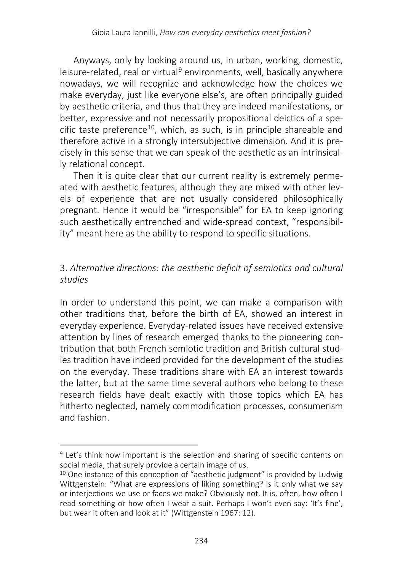Anyways, only by looking around us, in urban, working, domestic, leisure-related, real or virtual<sup>[9](#page-5-0)</sup> environments, well, basically anywhere nowadays, we will recognize and acknowledge how the choices we make everyday, just like everyone else's, are often principally guided by aesthetic criteria, and thus that they are indeed manifestations, or better, expressive and not necessarily propositional deictics of a spe-cific taste preference<sup>[10](#page-5-1)</sup>, which, as such, is in principle shareable and therefore active in a strongly intersubjective dimension. And it is precisely in this sense that we can speak of the aesthetic as an intrinsically relational concept.

Then it is quite clear that our current reality is extremely permeated with aesthetic features, although they are mixed with other levels of experience that are not usually considered philosophically pregnant. Hence it would be "irresponsible" for EA to keep ignoring such aesthetically entrenched and wide-spread context, "responsibility" meant here as the ability to respond to specific situations.

#### 3. *Alternative directions: the aesthetic deficit of semiotics and cultural studies*

In order to understand this point, we can make a comparison with other traditions that, before the birth of EA, showed an interest in everyday experience. Everyday-related issues have received extensive attention by lines of research emerged thanks to the pioneering contribution that both French semiotic tradition and British cultural studies tradition have indeed provided for the development of the studies on the everyday. These traditions share with EA an interest towards the latter, but at the same time several authors who belong to these research fields have dealt exactly with those topics which EA has hitherto neglected, namely commodification processes, consumerism and fashion.

<span id="page-5-0"></span><sup>&</sup>lt;sup>9</sup> Let's think how important is the selection and sharing of specific contents on social media, that surely provide a certain image of us.

<span id="page-5-1"></span> $10$  One instance of this conception of "aesthetic judgment" is provided by Ludwig Wittgenstein: "What are expressions of liking something? Is it only what we say or interjections we use or faces we make? Obviously not. It is, often, how often I read something or how often I wear a suit. Perhaps I won't even say: 'It's fine', but wear it often and look at it" (Wittgenstein 1967: 12).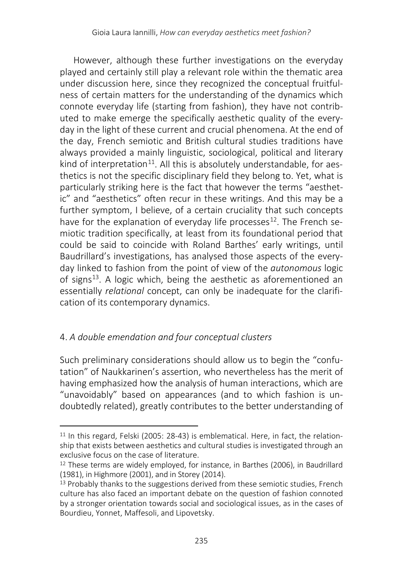However, although these further investigations on the everyday played and certainly still play a relevant role within the thematic area under discussion here, since they recognized the conceptual fruitfulness of certain matters for the understanding of the dynamics which connote everyday life (starting from fashion), they have not contributed to make emerge the specifically aesthetic quality of the everyday in the light of these current and crucial phenomena. At the end of the day, French semiotic and British cultural studies traditions have always provided a mainly linguistic, sociological, political and literary kind of interpretation<sup>[11](#page-6-0)</sup>. All this is absolutely understandable, for aesthetics is not the specific disciplinary field they belong to. Yet, what is particularly striking here is the fact that however the terms "aesthetic" and "aesthetics" often recur in these writings. And this may be a further symptom, I believe, of a certain cruciality that such concepts have for the explanation of everyday life processes<sup>[12](#page-6-1)</sup>. The French semiotic tradition specifically, at least from its foundational period that could be said to coincide with Roland Barthes' early writings, until Baudrillard's investigations, has analysed those aspects of the everyday linked to fashion from the point of view of the *autonomous* logic of signs<sup>[13](#page-6-2)</sup>. A logic which, being the aesthetic as aforementioned an essentially *relational* concept, can only be inadequate for the clarification of its contemporary dynamics.

### 4. *A double emendation and four conceptual clusters*

 $\overline{\phantom{a}}$ 

Such preliminary considerations should allow us to begin the "confutation" of Naukkarinen's assertion, who nevertheless has the merit of having emphasized how the analysis of human interactions, which are "unavoidably" based on appearances (and to which fashion is undoubtedly related), greatly contributes to the better understanding of

<span id="page-6-0"></span><sup>&</sup>lt;sup>11</sup> In this regard, Felski (2005: 28-43) is emblematical. Here, in fact, the relationship that exists between aesthetics and cultural studies is investigated through an exclusive focus on the case of literature.

<span id="page-6-1"></span><sup>12</sup> These terms are widely employed, for instance, in Barthes (2006), in Baudrillard (1981), in Highmore (2001), and in Storey (2014).

<span id="page-6-2"></span><sup>&</sup>lt;sup>13</sup> Probably thanks to the suggestions derived from these semiotic studies. French culture has also faced an important debate on the question of fashion connoted by a stronger orientation towards social and sociological issues, as in the cases of Bourdieu, Yonnet, Maffesoli, and Lipovetsky.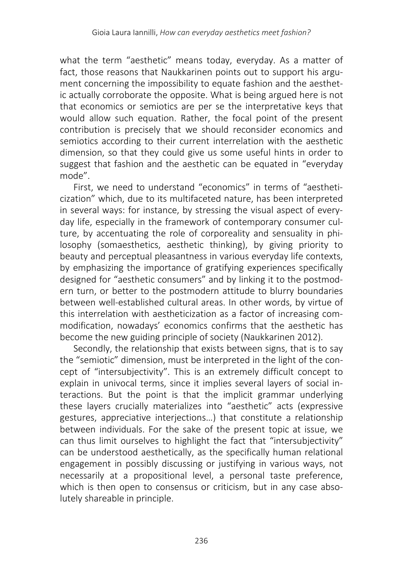what the term "aesthetic" means today, everyday. As a matter of fact, those reasons that Naukkarinen points out to support his argument concerning the impossibility to equate fashion and the aesthetic actually corroborate the opposite. What is being argued here is not that economics or semiotics are per se the interpretative keys that would allow such equation. Rather, the focal point of the present contribution is precisely that we should reconsider economics and semiotics according to their current interrelation with the aesthetic dimension, so that they could give us some useful hints in order to suggest that fashion and the aesthetic can be equated in "everyday mode".

First, we need to understand "economics" in terms of "aestheticization" which, due to its multifaceted nature, has been interpreted in several ways: for instance, by stressing the visual aspect of everyday life, especially in the framework of contemporary consumer culture, by accentuating the role of corporeality and sensuality in philosophy (somaesthetics, aesthetic thinking), by giving priority to beauty and perceptual pleasantness in various everyday life contexts, by emphasizing the importance of gratifying experiences specifically designed for "aesthetic consumers" and by linking it to the postmodern turn, or better to the postmodern attitude to blurry boundaries between well-established cultural areas. In other words, by virtue of this interrelation with aestheticization as a factor of increasing commodification, nowadays' economics confirms that the aesthetic has become the new guiding principle of society (Naukkarinen 2012).

Secondly, the relationship that exists between signs, that is to say the "semiotic" dimension, must be interpreted in the light of the concept of "intersubjectivity". This is an extremely difficult concept to explain in univocal terms, since it implies several layers of social interactions. But the point is that the implicit grammar underlying these layers crucially materializes into "aesthetic" acts (expressive gestures, appreciative interjections…) that constitute a relationship between individuals. For the sake of the present topic at issue, we can thus limit ourselves to highlight the fact that "intersubjectivity" can be understood aesthetically, as the specifically human relational engagement in possibly discussing or justifying in various ways, not necessarily at a propositional level, a personal taste preference, which is then open to consensus or criticism, but in any case absolutely shareable in principle.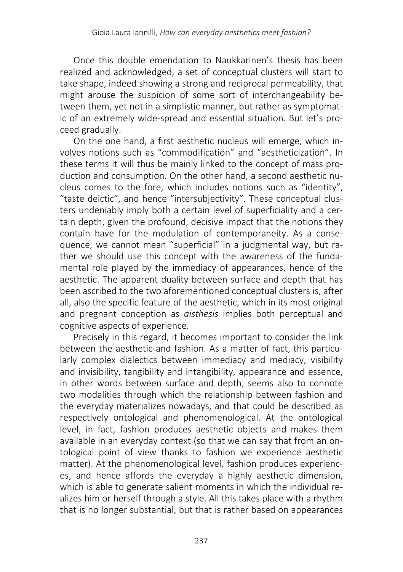Once this double emendation to Naukkarinen's thesis has been realized and acknowledged, a set of conceptual clusters will start to take shape, indeed showing a strong and reciprocal permeability, that might arouse the suspicion of some sort of interchangeability between them, yet not in a simplistic manner, but rather as symptomatic of an extremely wide-spread and essential situation. But let's proceed gradually.

On the one hand, a first aesthetic nucleus will emerge, which involves notions such as "commodification" and "aestheticization". In these terms it will thus be mainly linked to the concept of mass production and consumption. On the other hand, a second aesthetic nucleus comes to the fore, which includes notions such as "identity", "taste deictic", and hence "intersubjectivity". These conceptual clusters undeniably imply both a certain level of superficiality and a certain depth, given the profound, decisive impact that the notions they contain have for the modulation of contemporaneity. As a consequence, we cannot mean "superficial" in a judgmental way, but rather we should use this concept with the awareness of the fundamental role played by the immediacy of appearances, hence of the aesthetic. The apparent duality between surface and depth that has been ascribed to the two aforementioned conceptual clusters is, after all, also the specific feature of the aesthetic, which in its most original and pregnant conception as *aisthesis* implies both perceptual and cognitive aspects of experience.

Precisely in this regard, it becomes important to consider the link between the aesthetic and fashion. As a matter of fact, this particularly complex dialectics between immediacy and mediacy, visibility and invisibility, tangibility and intangibility, appearance and essence, in other words between surface and depth, seems also to connote two modalities through which the relationship between fashion and the everyday materializes nowadays, and that could be described as respectively ontological and phenomenological. At the ontological level, in fact, fashion produces aesthetic objects and makes them available in an everyday context (so that we can say that from an ontological point of view thanks to fashion we experience aesthetic matter). At the phenomenological level, fashion produces experiences, and hence affords the everyday a highly aesthetic dimension, which is able to generate salient moments in which the individual realizes him or herself through a style. All this takes place with a rhythm that is no longer substantial, but that is rather based on appearances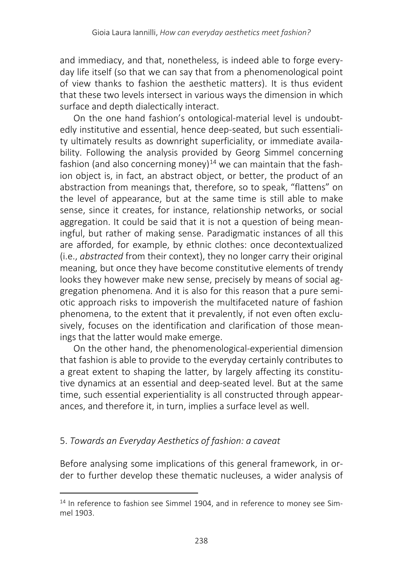and immediacy, and that, nonetheless, is indeed able to forge everyday life itself (so that we can say that from a phenomenological point of view thanks to fashion the aesthetic matter*s*). It is thus evident that these two levels intersect in various ways the dimension in which surface and depth dialectically interact.

On the one hand fashion's ontological-material level is undoubtedly institutive and essential, hence deep-seated, but such essentiality ultimately results as downright superficiality, or immediate availability. Following the analysis provided by Georg Simmel concerning fashion (and also concerning money)<sup>[14](#page-9-0)</sup> we can maintain that the fashion object is, in fact, an abstract object, or better, the product of an abstraction from meanings that, therefore, so to speak, "flattens" on the level of appearance, but at the same time is still able to make sense, since it creates, for instance, relationship networks, or social aggregation. It could be said that it is not a question of being meaningful, but rather of making sense. Paradigmatic instances of all this are afforded, for example, by ethnic clothes: once decontextualized (i.e., *abstracted* from their context), they no longer carry their original meaning, but once they have become constitutive elements of trendy looks they however make new sense, precisely by means of social aggregation phenomena. And it is also for this reason that a pure semiotic approach risks to impoverish the multifaceted nature of fashion phenomena, to the extent that it prevalently, if not even often exclusively, focuses on the identification and clarification of those meanings that the latter would make emerge.

On the other hand, the phenomenological-experiential dimension that fashion is able to provide to the everyday certainly contributes to a great extent to shaping the latter, by largely affecting its constitutive dynamics at an essential and deep-seated level. But at the same time, such essential experientiality is all constructed through appearances, and therefore it, in turn, implies a surface level as well.

#### 5. *Towards an Everyday Aesthetics of fashion: a caveat*

l

Before analysing some implications of this general framework, in order to further develop these thematic nucleuses, a wider analysis of

<span id="page-9-0"></span><sup>&</sup>lt;sup>14</sup> In reference to fashion see Simmel 1904, and in reference to money see Simmel 1903.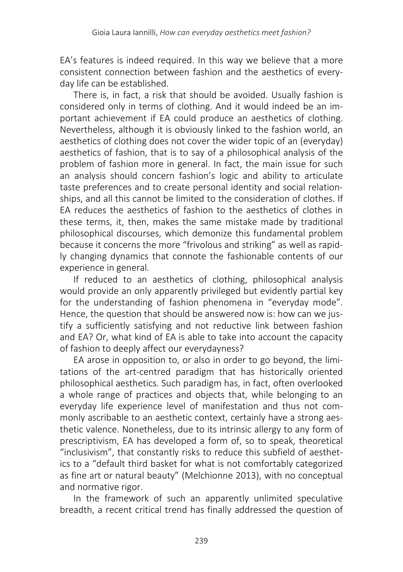EA's features is indeed required. In this way we believe that a more consistent connection between fashion and the aesthetics of everyday life can be established.

There is, in fact, a risk that should be avoided. Usually fashion is considered only in terms of clothing. And it would indeed be an important achievement if EA could produce an aesthetics of clothing. Nevertheless, although it is obviously linked to the fashion world, an aesthetics of clothing does not cover the wider topic of an (everyday) aesthetics of fashion, that is to say of a philosophical analysis of the problem of fashion more in general. In fact, the main issue for such an analysis should concern fashion's logic and ability to articulate taste preferences and to create personal identity and social relationships, and all this cannot be limited to the consideration of clothes. If EA reduces the aesthetics of fashion to the aesthetics of clothes in these terms, it, then, makes the same mistake made by traditional philosophical discourses, which demonize this fundamental problem because it concerns the more "frivolous and striking" as well as rapidly changing dynamics that connote the fashionable contents of our experience in general.

If reduced to an aesthetics of clothing, philosophical analysis would provide an only apparently privileged but evidently partial key for the understanding of fashion phenomena in "everyday mode". Hence, the question that should be answered now is: how can we justify a sufficiently satisfying and not reductive link between fashion and EA? Or, what kind of EA is able to take into account the capacity of fashion to deeply affect our everydayness?

EA arose in opposition to, or also in order to go beyond, the limitations of the art-centred paradigm that has historically oriented philosophical aesthetics. Such paradigm has, in fact, often overlooked a whole range of practices and objects that, while belonging to an everyday life experience level of manifestation and thus not commonly ascribable to an aesthetic context, certainly have a strong aesthetic valence. Nonetheless, due to its intrinsic allergy to any form of prescriptivism, EA has developed a form of, so to speak, theoretical "inclusivism", that constantly risks to reduce this subfield of aesthetics to a "default third basket for what is not comfortably categorized as fine art or natural beauty" (Melchionne 2013), with no conceptual and normative rigor.

In the framework of such an apparently unlimited speculative breadth, a recent critical trend has finally addressed the question of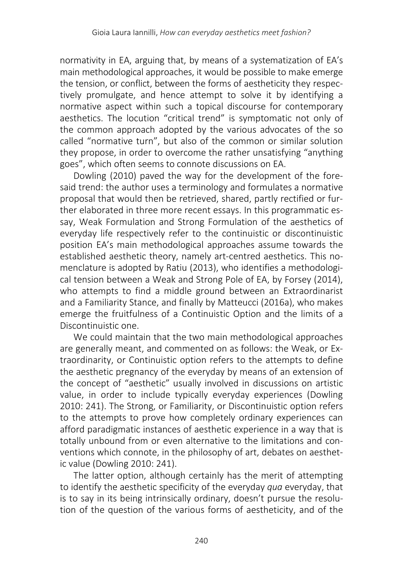normativity in EA, arguing that, by means of a systematization of EA's main methodological approaches, it would be possible to make emerge the tension, or conflict, between the forms of aestheticity they respectively promulgate, and hence attempt to solve it by identifying a normative aspect within such a topical discourse for contemporary aesthetics. The locution "critical trend" is symptomatic not only of the common approach adopted by the various advocates of the so called "normative turn", but also of the common or similar solution they propose, in order to overcome the rather unsatisfying "anything goes", which often seems to connote discussions on EA.

Dowling (2010) paved the way for the development of the foresaid trend: the author uses a terminology and formulates a normative proposal that would then be retrieved, shared, partly rectified or further elaborated in three more recent essays. In this programmatic essay, Weak Formulation and Strong Formulation of the aesthetics of everyday life respectively refer to the continuistic or discontinuistic position EA's main methodological approaches assume towards the established aesthetic theory, namely art-centred aesthetics. This nomenclature is adopted by Ratiu (2013), who identifies a methodological tension between a Weak and Strong Pole of EA, by Forsey (2014), who attempts to find a middle ground between an Extraordinarist and a Familiarity Stance, and finally by Matteucci (2016a), who makes emerge the fruitfulness of a Continuistic Option and the limits of a Discontinuistic one.

We could maintain that the two main methodological approaches are generally meant, and commented on as follows: the Weak, or Extraordinarity, or Continuistic option refers to the attempts to define the aesthetic pregnancy of the everyday by means of an extension of the concept of "aesthetic" usually involved in discussions on artistic value, in order to include typically everyday experiences (Dowling 2010: 241). The Strong, or Familiarity, or Discontinuistic option refers to the attempts to prove how completely ordinary experiences can afford paradigmatic instances of aesthetic experience in a way that is totally unbound from or even alternative to the limitations and conventions which connote, in the philosophy of art, debates on aesthetic value (Dowling 2010: 241).

The latter option, although certainly has the merit of attempting to identify the aesthetic specificity of the everyday *qua* everyday, that is to say in its being intrinsically ordinary, doesn't pursue the resolution of the question of the various forms of aestheticity, and of the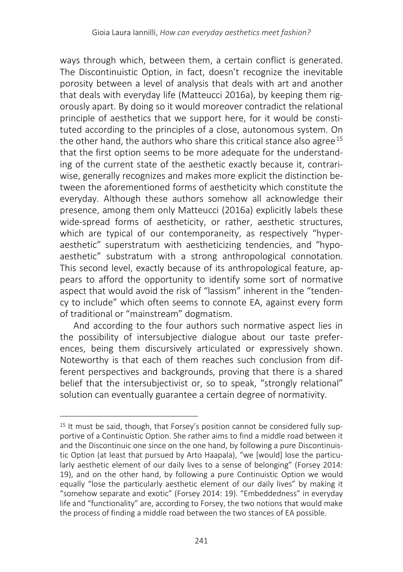ways through which, between them, a certain conflict is generated. The Discontinuistic Option, in fact, doesn't recognize the inevitable porosity between a level of analysis that deals with art and another that deals with everyday life (Matteucci 2016a), by keeping them rigorously apart. By doing so it would moreover contradict the relational principle of aesthetics that we support here, for it would be constituted according to the principles of a close, autonomous system. On the other hand, the authors who share this critical stance also agree<sup>[15](#page-12-0)</sup> that the first option seems to be more adequate for the understanding of the current state of the aesthetic exactly because it, contrariwise, generally recognizes and makes more explicit the distinction between the aforementioned forms of aestheticity which constitute the everyday. Although these authors somehow all acknowledge their presence, among them only Matteucci (2016a) explicitly labels these wide-spread forms of aestheticity, or rather, aesthetic structures, which are typical of our contemporaneity, as respectively "hyperaesthetic" superstratum with aestheticizing tendencies, and "hypoaesthetic" substratum with a strong anthropological connotation. This second level, exactly because of its anthropological feature, appears to afford the opportunity to identify some sort of normative aspect that would avoid the risk of "lassism" inherent in the "tendency to include" which often seems to connote EA, against every form of traditional or "mainstream" dogmatism.

And according to the four authors such normative aspect lies in the possibility of intersubjective dialogue about our taste preferences, being them discursively articulated or expressively shown. Noteworthy is that each of them reaches such conclusion from different perspectives and backgrounds, proving that there is a shared belief that the intersubjectivist or, so to speak, "strongly relational" solution can eventually guarantee a certain degree of normativity.

<span id="page-12-0"></span><sup>15</sup> It must be said, though, that Forsey's position cannot be considered fully supportive of a Continuistic Option. She rather aims to find a middle road between it and the Discontinuic one since on the one hand, by following a pure Discontinuistic Option (at least that pursued by Arto Haapala), "we [would] lose the particularly aesthetic element of our daily lives to a sense of belonging" (Forsey 2014: 19), and on the other hand, by following a pure Continuistic Option we would equally "lose the particularly aesthetic element of our daily lives" by making it "somehow separate and exotic" (Forsey 2014: 19). "Embeddedness" in everyday life and "functionality" are, according to Forsey, the two notions that would make the process of finding a middle road between the two stances of EA possible.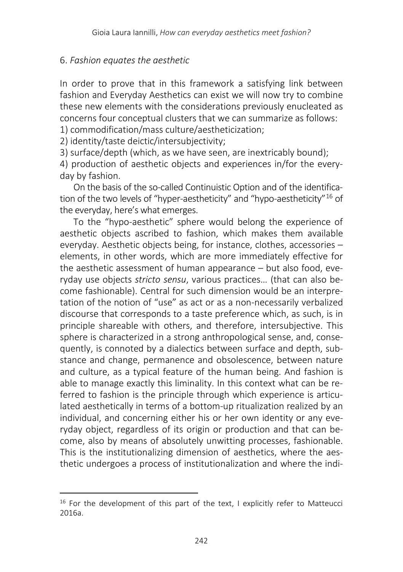#### 6. *Fashion equates the aesthetic*

In order to prove that in this framework a satisfying link between fashion and Everyday Aesthetics can exist we will now try to combine these new elements with the considerations previously enucleated as concerns four conceptual clusters that we can summarize as follows: 1) commodification/mass culture/aestheticization;

2) identity/taste deictic/intersubjectivity;

3) surface/depth (which, as we have seen, are inextricably bound);

4) production of aesthetic objects and experiences in/for the everyday by fashion.

On the basis of the so-called Continuistic Option and of the identification of the two levels of "hyper-aestheticity" and "hypo-aestheticity"[16](#page-13-0) of the everyday, here's what emerges.

To the "hypo-aesthetic" sphere would belong the experience of aesthetic objects ascribed to fashion, which makes them available everyday. Aesthetic objects being, for instance, clothes, accessories – elements, in other words, which are more immediately effective for the aesthetic assessment of human appearance – but also food, everyday use objects *stricto sensu*, various practices… (that can also become fashionable). Central for such dimension would be an interpretation of the notion of "use" as act or as a non-necessarily verbalized discourse that corresponds to a taste preference which, as such, is in principle shareable with others, and therefore, intersubjective. This sphere is characterized in a strong anthropological sense, and, consequently, is connoted by a dialectics between surface and depth, substance and change, permanence and obsolescence, between nature and culture, as a typical feature of the human being. And fashion is able to manage exactly this liminality. In this context what can be referred to fashion is the principle through which experience is articulated aesthetically in terms of a bottom-up ritualization realized by an individual, and concerning either his or her own identity or any everyday object, regardless of its origin or production and that can become, also by means of absolutely unwitting processes, fashionable. This is the institutionalizing dimension of aesthetics, where the aesthetic undergoes a process of institutionalization and where the indi-

<span id="page-13-0"></span>l  $16$  For the development of this part of the text, I explicitly refer to Matteucci 2016a.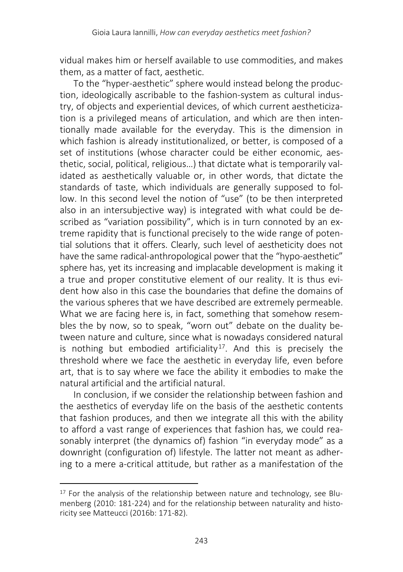vidual makes him or herself available to use commodities, and makes them, as a matter of fact, aesthetic.

To the "hyper-aesthetic" sphere would instead belong the production, ideologically ascribable to the fashion-system as cultural industry, of objects and experiential devices, of which current aestheticization is a privileged means of articulation, and which are then intentionally made available for the everyday. This is the dimension in which fashion is already institutionalized, or better, is composed of a set of institutions (whose character could be either economic, aesthetic, social, political, religious…) that dictate what is temporarily validated as aesthetically valuable or, in other words, that dictate the standards of taste, which individuals are generally supposed to follow. In this second level the notion of "use" (to be then interpreted also in an intersubjective way) is integrated with what could be described as "variation possibility", which is in turn connoted by an extreme rapidity that is functional precisely to the wide range of potential solutions that it offers. Clearly, such level of aestheticity does not have the same radical-anthropological power that the "hypo-aesthetic" sphere has, yet its increasing and implacable development is making it a true and proper constitutive element of our reality. It is thus evident how also in this case the boundaries that define the domains of the various spheres that we have described are extremely permeable. What we are facing here is, in fact, something that somehow resembles the by now, so to speak, "worn out" debate on the duality between nature and culture, since what is nowadays considered natural is nothing but embodied artificiality<sup>[17](#page-14-0)</sup>. And this is precisely the threshold where we face the aesthetic in everyday life, even before art, that is to say where we face the ability it embodies to make the natural artificial and the artificial natural.

In conclusion, if we consider the relationship between fashion and the aesthetics of everyday life on the basis of the aesthetic contents that fashion produces, and then we integrate all this with the ability to afford a vast range of experiences that fashion has, we could reasonably interpret (the dynamics of) fashion "in everyday mode" as a downright (configuration of) lifestyle. The latter not meant as adhering to a mere a-critical attitude, but rather as a manifestation of the

 $\overline{\phantom{a}}$ 

<span id="page-14-0"></span><sup>&</sup>lt;sup>17</sup> For the analysis of the relationship between nature and technology, see Blumenberg (2010: 181-224) and for the relationship between naturality and historicity see Matteucci (2016b: 171-82).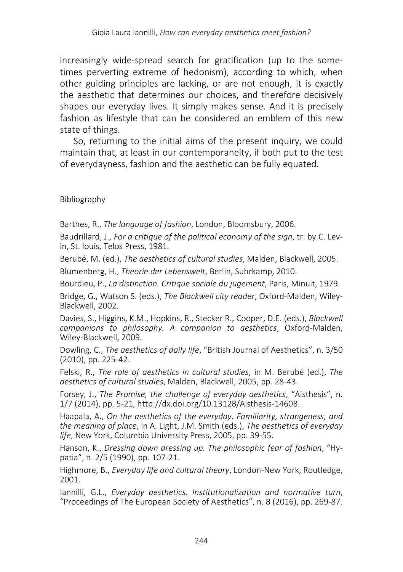increasingly wide-spread search for gratification (up to the sometimes perverting extreme of hedonism), according to which, when other guiding principles are lacking, or are not enough, it is exactly the aesthetic that determines our choices, and therefore decisively shapes our everyday lives. It simply makes sense. And it is precisely fashion as lifestyle that can be considered an emblem of this new state of things.

So, returning to the initial aims of the present inquiry, we could maintain that, at least in our contemporaneity, if both put to the test of everydayness, fashion and the aesthetic can be fully equated.

Bibliography

Barthes, R., *The language of fashion*, London, Bloomsbury, 2006.

Baudrillard, J., *For a critique of the political economy of the sign*, tr. by C. Levin, St. louis, Telos Press, 1981.

Berubé, M. (ed.), *The aesthetics of cultural studies*, Malden, Blackwell, 2005.

Blumenberg, H., *Theorie der Lebenswelt*, Berlin, Suhrkamp, 2010.

Bourdieu, P., *La distinction. Critique sociale du jugement*, Paris, Minuit, 1979.

Bridge, G., Watson S. (eds.), *The Blackwell city reader*, Oxford-Malden, Wiley-Blackwell, 2002.

Davies, S., Higgins, K.M., Hopkins, R., Stecker R., Cooper, D.E. (eds.), *Blackwell companions to philosophy. A companion to aesthetics*, Oxford-Malden, Wiley-Blackwell, 2009.

Dowling, C., *The aesthetics of daily life*, "British Journal of Aesthetics", n. 3/50 (2010), pp. 225-42.

Felski, R., *The role of aesthetics in cultural studies*, in M. Berubé (ed.), *The aesthetics of cultural studies*, Malden, Blackwell, 2005, pp. 28-43.

Forsey, J., *The Promise, the challenge of everyday aesthetics*, "Aisthesis", n. 1/7 (2014), pp. 5-21, http://dx.doi.org/10.13128/Aisthesis-14608.

Haapala, A., *On the aesthetics of the everyday. Familiarity, strangeness, and the meaning of place*, in A. Light, J.M. Smith (eds.), *The aesthetics of everyday life*, New York, Columbia University Press, 2005, pp. 39-55.

Hanson, K., *Dressing down dressing up. The philosophic fear of fashion*, "Hypatia", n. 2/5 (1990), pp. 107-21.

Highmore, B., *Everyday life and cultural theory*, London-New York, Routledge, 2001.

Iannilli, G.L., *Everyday aesthetics. Institutionalization and normative turn*, "Proceedings of The European Society of Aesthetics", n. 8 (2016), pp. 269-87.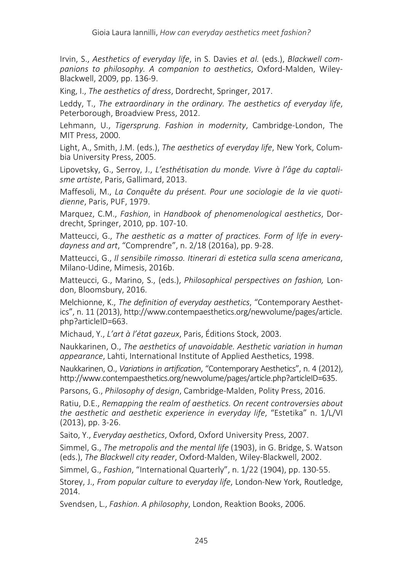Irvin, S., *Aesthetics of everyday life*, in S. Davies *et al.* (eds.), *Blackwell companions to philosophy. A companion to aesthetics*, Oxford-Malden, Wiley-Blackwell, 2009, pp. 136-9.

King, I., *The aesthetics of dress*, Dordrecht, Springer, 2017.

Leddy, T., *The extraordinary in the ordinary. The aesthetics of everyday life*, Peterborough, Broadview Press, 2012.

Lehmann, U., *Tigersprung. Fashion in modernity*, Cambridge-London, The MIT Press, 2000.

Light, A., Smith, J.M. (eds.), *The aesthetics of everyday life*, New York, Columbia University Press, 2005.

Lipovetsky, G., Serroy, J., *L'esthétisation du monde. Vivre à l'âge du captalisme artiste*, Paris, Gallimard, 2013.

Maffesoli, M., *La Conquête du présent. Pour une sociologie de la vie quotidienne*, Paris, PUF, 1979.

Marquez, C.M., *Fashion*, in *Handbook of phenomenological aesthetics*, Dordrecht, Springer, 2010, pp. 107-10.

Matteucci, G., *The aesthetic as a matter of practices. Form of life in everydayness and art*, "Comprendre", n. 2/18 (2016a), pp. 9-28.

Matteucci, G., *Il sensibile rimosso. Itinerari di estetica sulla scena americana*, Milano-Udine, Mimesis, 2016b.

Matteucci, G., Marino, S., (eds.), *Philosophical perspectives on fashion,* London, Bloomsbury, 2016.

Melchionne, K., *The definition of everyday aesthetics*, "Contemporary Aesthetics", n. 11 (2013), http://www.contempaesthetics.org/newvolume/pages/article. php?articleID=663.

Michaud, Y., *L'art à l'état gazeux*, Paris, Éditions Stock, 2003.

Naukkarinen, O., *The aesthetics of unavoidable. Aesthetic variation in human appearance*, Lahti, International Institute of Applied Aesthetics, 1998.

Naukkarinen, O., *Variations in artification*, "Contemporary Aesthetics", n. 4 (2012), http://www.contempaesthetics.org/newvolume/pages/article.php?articleID=635.

Parsons, G., *Philosophy of design*, Cambridge-Malden, Polity Press, 2016.

Ratiu, D.E., *Remapping the realm of aesthetics. On recent controversies about the aesthetic and aesthetic experience in everyday life*, "Estetika" n. 1/L/VI (2013), pp. 3-26.

Saito, Y., *Everyday aesthetics*, Oxford, Oxford University Press, 2007.

Simmel, G., *The metropolis and the mental life* (1903), in G. Bridge, S. Watson (eds.), *The Blackwell city reader*, Oxford-Malden, Wiley-Blackwell, 2002.

Simmel, G., *Fashion*, "International Quarterly", n. 1/22 (1904), pp. 130-55.

Storey, J., *From popular culture to everyday life*, London-New York, Routledge, 2014.

Svendsen, L., *Fashion. A philosophy*, London, Reaktion Books, 2006.